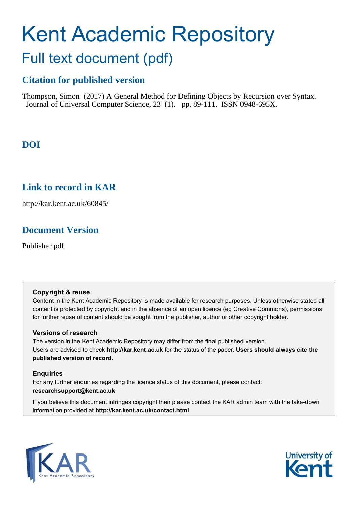# Kent Academic Repository Full text document (pdf)

# **Citation for published version**

Thompson, Simon (2017) A General Method for Defining Objects by Recursion over Syntax. Journal of Universal Computer Science, 23 (1). pp. 89-111. ISSN 0948-695X.

# **DOI**

# **Link to record in KAR**

http://kar.kent.ac.uk/60845/

# **Document Version**

Publisher pdf

#### **Copyright & reuse**

Content in the Kent Academic Repository is made available for research purposes. Unless otherwise stated all content is protected by copyright and in the absence of an open licence (eg Creative Commons), permissions for further reuse of content should be sought from the publisher, author or other copyright holder.

#### **Versions of research**

The version in the Kent Academic Repository may differ from the final published version. Users are advised to check **http://kar.kent.ac.uk** for the status of the paper. **Users should always cite the published version of record.**

#### **Enquiries**

For any further enquiries regarding the licence status of this document, please contact: **researchsupport@kent.ac.uk**

If you believe this document infringes copyright then please contact the KAR admin team with the take-down information provided at **http://kar.kent.ac.uk/contact.html**



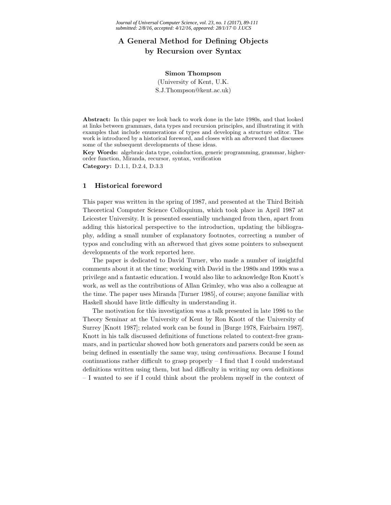### A General Method for Defining Objects by Recursion over Syntax

#### Simon Thompson

(University of Kent, U.K.

S.J.Thompson@kent.ac.uk)

Abstract: In this paper we look back to work done in the late 1980s, and that looked at links between grammars, data types and recursion principles, and illustrating it with examples that include enumerations of types and developing a structure editor. The work is introduced by a historical foreword, and closes with an afterword that discusses some of the subsequent developments of these ideas.

Key Words: algebraic data type, coinduction, generic programming, grammar, higherorder function, Miranda, recursor, syntax, verification Category: D.1.1, D.2.4, D.3.3

#### 1 Historical foreword

This paper was written in the spring of 1987, and presented at the Third British Theoretical Computer Science Colloquium, which took place in April 1987 at Leicester University. It is presented essentially unchanged from then, apart from adding this historical perspective to the introduction, updating the bibliography, adding a small number of explanatory footnotes, correcting a number of typos and concluding with an afterword that gives some pointers to subsequent developments of the work reported here.

The paper is dedicated to David Turner, who made a number of insightful comments about it at the time; working with David in the 1980s and 1990s was a privilege and a fantastic education. I would also like to acknowledge Ron Knott's work, as well as the contributions of Allan Grimley, who was also a colleague at the time. The paper uses Miranda [Turner 1985], of course; anyone familiar with Haskell should have little difficulty in understanding it.

The motivation for this investigation was a talk presented in late 1986 to the Theory Seminar at the University of Kent by Ron Knott of the University of Surrey [Knott 1987]; related work can be found in [Burge 1978, Fairbairn 1987]. Knott in his talk discussed definitions of functions related to context-free grammars, and in particular showed how both generators and parsers could be seen as being defined in essentially the same way, using continuations. Because I found continuations rather difficult to grasp properly  $-$  I find that I could understand definitions written using them, but had difficulty in writing my own definitions – I wanted to see if I could think about the problem myself in the context of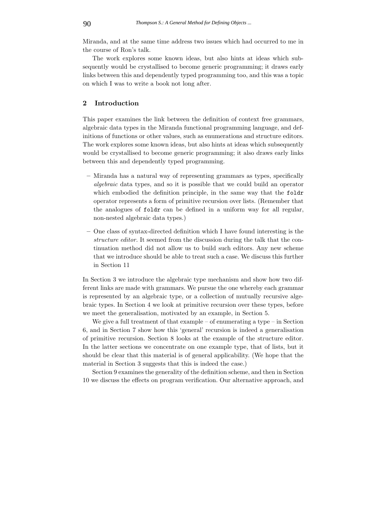Miranda, and at the same time address two issues which had occurred to me in the course of Ron's talk.

The work explores some known ideas, but also hints at ideas which subsequently would be crystallised to become generic programming; it draws early links between this and dependently typed programming too, and this was a topic on which I was to write a book not long after.

#### 2 Introduction

This paper examines the link between the definition of context free grammars, algebraic data types in the Miranda functional programming language, and definitions of functions or other values, such as enumerations and structure editors. The work explores some known ideas, but also hints at ideas which subsequently would be crystallised to become generic programming; it also draws early links between this and dependently typed programming.

- Miranda has a natural way of representing grammars as types, specifically algebraic data types, and so it is possible that we could build an operator which embodied the definition principle, in the same way that the foldr operator represents a form of primitive recursion over lists. (Remember that the analogues of foldr can be defined in a uniform way for all regular, non-nested algebraic data types.)
- One class of syntax-directed definition which I have found interesting is the structure editor. It seemed from the discussion during the talk that the continuation method did not allow us to build such editors. Any new scheme that we introduce should be able to treat such a case. We discuss this further in Section 11

In Section 3 we introduce the algebraic type mechanism and show how two different links are made with grammars. We pursue the one whereby each grammar is represented by an algebraic type, or a collection of mutually recursive algebraic types. In Section 4 we look at primitive recursion over these types, before we meet the generalisation, motivated by an example, in Section 5.

We give a full treatment of that example – of enumerating a type – in Section 6, and in Section 7 show how this 'general' recursion is indeed a generalisation of primitive recursion. Section 8 looks at the example of the structure editor. In the latter sections we concentrate on one example type, that of lists, but it should be clear that this material is of general applicability. (We hope that the material in Section 3 suggests that this is indeed the case.)

Section 9 examines the generality of the definition scheme, and then in Section 10 we discuss the effects on program verification. Our alternative approach, and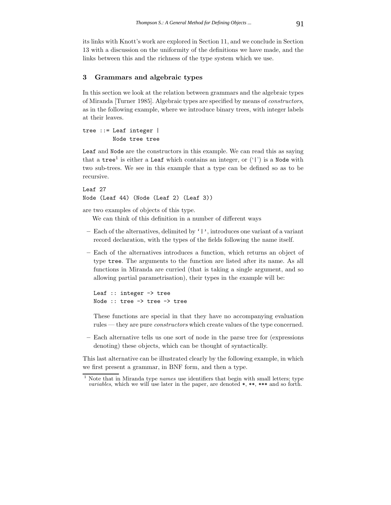its links with Knott's work are explored in Section 11, and we conclude in Section 13 with a discussion on the uniformity of the definitions we have made, and the links between this and the richness of the type system which we use.

#### 3 Grammars and algebraic types

In this section we look at the relation between grammars and the algebraic types of Miranda [Turner 1985]. Algebraic types are specified by means of constructors, as in the following example, where we introduce binary trees, with integer labels at their leaves.

tree ::= Leaf integer | Node tree tree

Leaf and Node are the constructors in this example. We can read this as saying that a  $\text{tree}^1$  is either a Leaf which contains an integer, or  $(1)$  is a Node with two sub-trees. We see in this example that a type can be defined so as to be recursive.

Leaf 27 Node (Leaf 44) (Node (Leaf 2) (Leaf 3))

are two examples of objects of this type.

We can think of this definition in a number of different ways

- Each of the alternatives, delimited by '|', introduces one variant of a variant record declaration, with the types of the fields following the name itself.
- Each of the alternatives introduces a function, which returns an object of type tree. The arguments to the function are listed after its name. As all functions in Miranda are curried (that is taking a single argument, and so allowing partial parametrisation), their types in the example will be:

```
Leaf :: integer -> tree
Node :: tree -> tree -> tree
```
These functions are special in that they have no accompanying evaluation rules — they are pure *constructors* which create values of the type concerned.

– Each alternative tells us one sort of node in the parse tree for (expressions denoting) these objects, which can be thought of syntactically.

This last alternative can be illustrated clearly by the following example, in which we first present a grammar, in BNF form, and then a type.

Note that in Miranda type names use identifiers that begin with small letters; type *variables*, which we will use later in the paper, are denoted  $*, **$ , \*\*\* and so forth.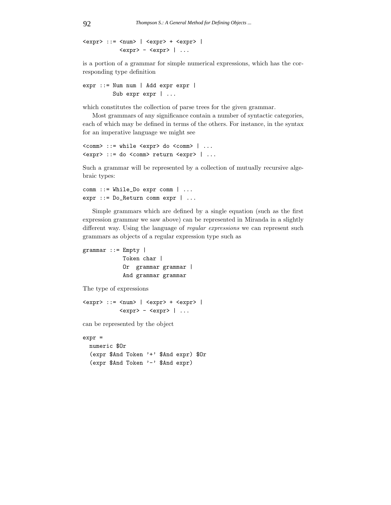```
\langle \text{expr} \rangle ::= \langle \text{num} \rangle | \langle \text{expr} \rangle + \langle \text{expr} \rangle |
                                   \langle \text{expr} \rangle - \langle \text{expr} \rangle | ...
```
is a portion of a grammar for simple numerical expressions, which has the corresponding type definition

```
expr ::= Num num | Add expr expr |
         Sub expr expr | ...
```
which constitutes the collection of parse trees for the given grammar.

Most grammars of any significance contain a number of syntactic categories, each of which may be defined in terms of the others. For instance, in the syntax for an imperative language we might see

```
<comm> ::= while <expr> do <comm> | ...
<expr> ::= do <comm> return <expr> | ...
```
Such a grammar will be represented by a collection of mutually recursive algebraic types:

```
comm ::= While_Do expr comm | ...
expr ::= Do_Return comm expr | ...
```
Simple grammars which are defined by a single equation (such as the first expression grammar we saw above) can be represented in Miranda in a slightly different way. Using the language of *regular expressions* we can represent such grammars as objects of a regular expression type such as

```
grammar ::= Empty |
            Token char |
            Or grammar grammar |
            And grammar grammar
```
The type of expressions

```
\langle \text{expr} \rangle ::= \langle \text{num} \rangle | \langle \text{expr} \rangle + \langle \text{expr} \rangle |
                           <expr> - <expr> | ...
```
can be represented by the object

expr =

```
numeric $Or
(expr $And Token '+' $And expr) $Or
(expr $And Token '-' $And expr)
```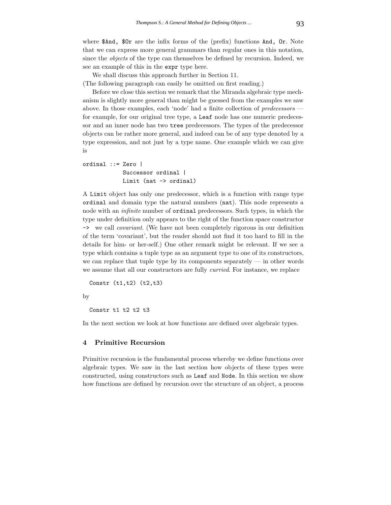where \$And, \$0r are the infix forms of the (prefix) functions And, Or. Note that we can express more general grammars than regular ones in this notation, since the objects of the type can themselves be defined by recursion. Indeed, we see an example of this in the expr type here.

We shall discuss this approach further in Section 11. (The following paragraph can easily be omitted on first reading.)

Before we close this section we remark that the Miranda algebraic type mechanism is slightly more general than might be guessed from the examples we saw above. In those examples, each 'node' had a finite collection of predecessors for example, for our original tree type, a Leaf node has one numeric predecessor and an inner node has two tree predecessors. The types of the predecessor objects can be rather more general, and indeed can be of any type denoted by a type expression, and not just by a type name. One example which we can give is

```
ordinal ::= Zero |
            Successor ordinal |
            Limit (nat -> ordinal)
```
A Limit object has only one predecessor, which is a function with range type ordinal and domain type the natural numbers (nat). This node represents a node with an infinite number of ordinal predecessors. Such types, in which the type under definition only appears to the right of the function space constructor -> we call covariant. (We have not been completely rigorous in our definition of the term 'covariant', but the reader should not find it too hard to fill in the details for him- or her-self.) One other remark might be relevant. If we see a type which contains a tuple type as an argument type to one of its constructors, we can replace that tuple type by its components separately — in other words we assume that all our constructors are fully curried. For instance, we replace

Constr (t1,t2) (t2,t3)

by

Constr t1 t2 t2 t3

In the next section we look at how functions are defined over algebraic types.

#### 4 Primitive Recursion

Primitive recursion is the fundamental process whereby we define functions over algebraic types. We saw in the last section how objects of these types were constructed, using constructors such as Leaf and Node. In this section we show how functions are defined by recursion over the structure of an object, a process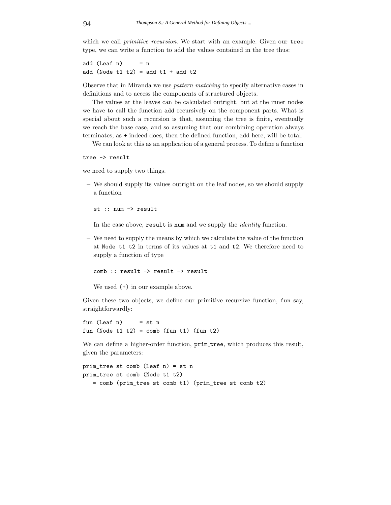which we call *primitive recursion*. We start with an example. Given our tree type, we can write a function to add the values contained in the tree thus:

add  $(Leaf n) = n$ add (Node  $t1$   $t2$ ) = add  $t1$  + add  $t2$ 

Observe that in Miranda we use pattern matching to specify alternative cases in definitions and to access the components of structured objects.

The values at the leaves can be calculated outright, but at the inner nodes we have to call the function add recursively on the component parts. What is special about such a recursion is that, assuming the tree is finite, eventually we reach the base case, and so assuming that our combining operation always terminates, as + indeed does, then the defined function, add here, will be total.

We can look at this as an application of a general process. To define a function

tree -> result

we need to supply two things.

– We should supply its values outright on the leaf nodes, so we should supply a function

st :: num -> result

In the case above, result is num and we supply the identity function.

– We need to supply the means by which we calculate the value of the function at Node t1 t2 in terms of its values at t1 and t2. We therefore need to supply a function of type

comb :: result -> result -> result

We used (+) in our example above.

Given these two objects, we define our primitive recursive function, fun say, straightforwardly:

fun  $(Leaf n)$  = st n fun (Node  $t1 t2$ ) = comb (fun  $t1$ ) (fun  $t2$ )

We can define a higher-order function,  $\text{prim\_tree}$ , which produces this result, given the parameters:

```
prim_tree st comb (Leaf n) = st n
prim_tree st comb (Node t1 t2)
   = comb (prim_tree st comb t1) (prim_tree st comb t2)
```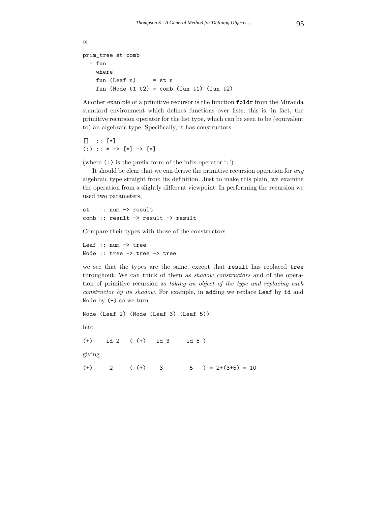```
or
prim_tree st comb
  = fun
    where
    fun (Leaf n) = st n
    fun (Node t1 t2) = comb (fun t1) (fun t2)
```
Another example of a primitive recursor is the function foldr from the Miranda standard environment which defines functions over lists; this is, in fact, the primitive recursion operator for the list type, which can be seen to be (equivalent to) an algebraic type. Specifically, it has constructors

 $[ ]$  ::  $[ * ]$  $(:): ** \rightarrow [*] \rightarrow [*]$ 

(where  $(:)$  is the prefix form of the infix operator  $(:).$ 

It should be clear that we can derive the primitive recursion operation for any algebraic type straight from its definition. Just to make this plain, we examine the operation from a slightly different viewpoint. In performing the recursion we used two parameters,

st :: num -> result comb :: result -> result -> result

Compare their types with those of the constructors

Leaf :: num -> tree Node :: tree -> tree -> tree

we see that the types are the same, except that result has replaced tree throughout. We can think of them as shadow constructors and of the operation of primitive recursion as taking an object of the type and replacing each constructor by its shadow. For example, in adding we replace Leaf by id and Node by (+) so we turn

Node (Leaf 2) (Node (Leaf 3) (Leaf 5)) into (+) id 2 ( (+) id 3 id 5 ) giving (+) 2 ( (+) 3  $5$  ) = 2+(3+5) = 10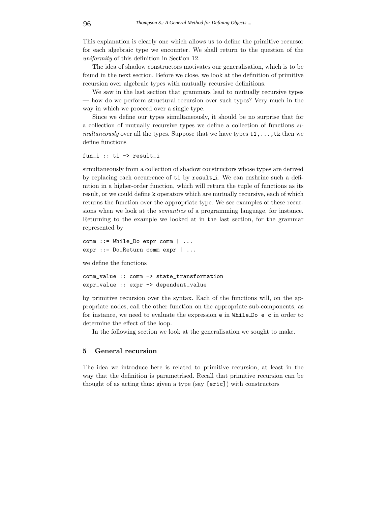This explanation is clearly one which allows us to define the primitive recursor for each algebraic type we encounter. We shall return to the question of the uniformity of this definition in Section 12.

The idea of shadow constructors motivates our generalisation, which is to be found in the next section. Before we close, we look at the definition of primitive recursion over algebraic types with mutually recursive definitions.

We saw in the last section that grammars lead to mutually recursive types how do we perform structural recursion over such types? Very much in the way in which we proceed over a single type.

Since we define our types simultaneously, it should be no surprise that for a collection of mutually recursive types we define a collection of functions simultaneously over all the types. Suppose that we have types  $t_1, \ldots, t_k$  then we define functions

```
fun_i :: ti -> result_i
```
simultaneously from a collection of shadow constructors whose types are derived by replacing each occurrence of ti by resulti. We can enshrine such a definition in a higher-order function, which will return the tuple of functions as its result, or we could define k operators which are mutually recursive, each of which returns the function over the appropriate type. We see examples of these recursions when we look at the semantics of a programming language, for instance. Returning to the example we looked at in the last section, for the grammar represented by

```
comm ::= While_Do expr comm | ...
expr ::= Do_Return comm expr | ...
```
we define the functions

comm\_value :: comm -> state\_transformation expr\_value :: expr -> dependent\_value

by primitive recursion over the syntax. Each of the functions will, on the appropriate nodes, call the other function on the appropriate sub-components, as for instance, we need to evaluate the expression e in While Do e c in order to determine the effect of the loop.

In the following section we look at the generalisation we sought to make.

#### 5 General recursion

The idea we introduce here is related to primitive recursion, at least in the way that the definition is parametrised. Recall that primitive recursion can be thought of as acting thus: given a type (say [eric]) with constructors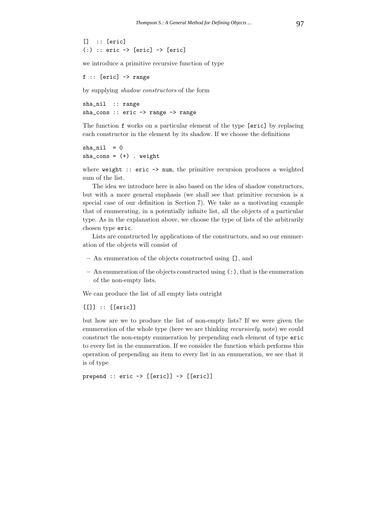[] :: [eric]  $(:):$  eric  $\rightarrow$  [eric]  $\rightarrow$  [eric]

we introduce a primitive recursive function of type

f :: [eric] -> range

by supplying shadow constructors of the form

sha\_nil :: range sha\_cons :: eric -> range -> range

The function f works on a particular element of the type [eric] by replacing each constructor in the element by its shadow. If we choose the definitions

```
sha_nil = 0sha_cons = (+) . weight
```
where weight :: eric  $\rightarrow$  num, the primitive recursion produces a weighted sum of the list.

The idea we introduce here is also based on the idea of shadow constructors, but with a more general emphasis (we shall see that primitive recursion is a special case of our definition in Section 7). We take as a motivating example that of enumerating, in a potentially infinite list, all the objects of a particular type. As in the explanation above, we choose the type of lists of the arbitrarily chosen type eric.

Lists are constructed by applications of the constructors, and so our enumeration of the objects will consist of

- An enumeration of the objects constructed using [], and
- An enumeration of the objects constructed using (:), that is the enumeration of the non-empty lists.

We can produce the list of all empty lists outright

 $[[]] :: [[eric]]$ 

but how are we to produce the list of non-empty lists? If we were given the enumeration of the whole type (here we are thinking recursively, note) we could construct the non-empty enumeration by prepending each element of type eric to every list in the enumeration. If we consider the function which performs this operation of prepending an item to every list in an enumeration, we see that it is of type

prepend :: eric -> [[eric]] -> [[eric]]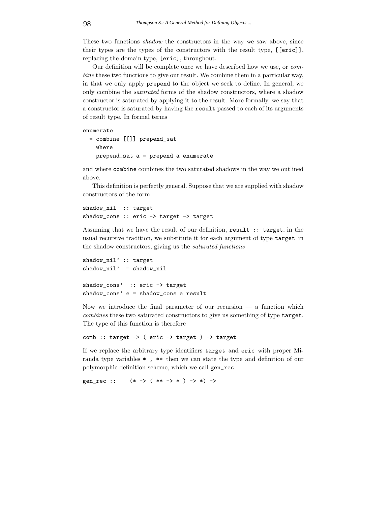These two functions *shadow* the constructors in the way we saw above, since their types are the types of the constructors with the result type, [[eric]], replacing the domain type, [eric], throughout.

Our definition will be complete once we have described how we use, or combine these two functions to give our result. We combine them in a particular way, in that we only apply prepend to the object we seek to define. In general, we only combine the saturated forms of the shadow constructors, where a shadow constructor is saturated by applying it to the result. More formally, we say that a constructor is saturated by having the result passed to each of its arguments of result type. In formal terms

#### enumerate

```
= combine [[]] prepend_sat
  where
 prepend_sat a = prepend a enumerate
```
and where combine combines the two saturated shadows in the way we outlined above.

This definition is perfectly general. Suppose that we are supplied with shadow constructors of the form

```
shadow_nil :: target
shadow_cons :: eric -> target -> target
```
Assuming that we have the result of our definition, result :: target, in the usual recursive tradition, we substitute it for each argument of type target in the shadow constructors, giving us the saturated functions

```
shadow_nil' :: target
shadow_nil' = shadow_nil
shadow_cons' :: eric -> target
shadow_cons' e = shadow_cons e result
```
Now we introduce the final parameter of our recursion — a function which combines these two saturated constructors to give us something of type target. The type of this function is therefore

```
comb :: target \rightarrow ( eric \rightarrow target ) \rightarrow target
```
If we replace the arbitrary type identifiers target and eric with proper Miranda type variables \* , \*\* then we can state the type and definition of our polymorphic definition scheme, which we call gen\_rec

```
gen_rec :: (* -> (* + -> *) -> *) ->
```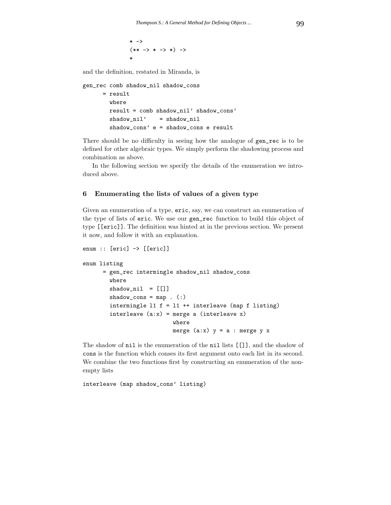```
* - \times(** -> * -> *) ->*
```
and the definition, restated in Miranda, is

```
gen_rec comb shadow_nil shadow_cons
      = result
        where
        result = comb shadow_nil' shadow_cons'
        shadow_nil' = shadow_nil
        shadow_cons' e = shadow_cons e result
```
There should be no difficulty in seeing how the analogue of gen\_rec is to be defined for other algebraic types. We simply perform the shadowing process and combination as above.

In the following section we specify the details of the enumeration we introduced above.

#### 6 Enumerating the lists of values of a given type

Given an enumeration of a type, eric, say, we can construct an enumeration of the type of lists of eric. We use our gen\_rec function to build this object of type [[eric]]. The definition was hinted at in the previous section. We present it now, and follow it with an explanation.

```
enum :: [eric] -> [[eric]]
```

```
enum listing
```

```
= gen_rec intermingle shadow_nil shadow_cons
  where
  shadow\_nil = [[]]shadow_{cons} = map . (:)
  intermingle 11 f = 11 ++ interleave (map f listing)
  interleave (a:x) = merge a (interleave x)
                     where
                     merge (a:x) y = a: merge y x
```
The shadow of nil is the enumeration of the nil lists [[]], and the shadow of cons is the function which conses its first argument onto each list in its second. We combine the two functions first by constructing an enumeration of the nonempty lists

interleave (map shadow\_cons' listing)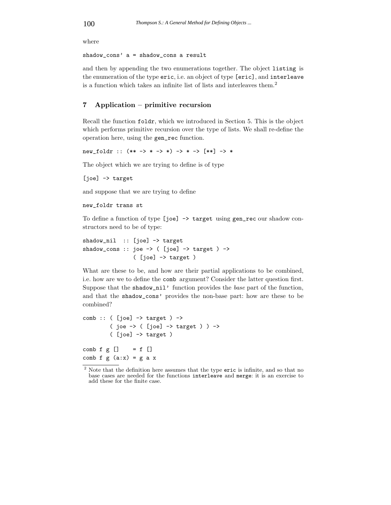where

shadow\_cons' a = shadow\_cons a result

and then by appending the two enumerations together. The object listing is the enumeration of the type eric, i.e. an object of type [eric], and interleave is a function which takes an infinite list of lists and interleaves them.<sup>2</sup>

#### 7 Application – primitive recursion

Recall the function foldr, which we introduced in Section 5. This is the object which performs primitive recursion over the type of lists. We shall re-define the operation here, using the gen\_rec function.

new\_foldr ::  $(** -> * - > *) - > * - > [**] - > *$ 

The object which we are trying to define is of type

[joe] -> target

and suppose that we are trying to define

```
new_foldr trans st
```
To define a function of type [joe] -> target using gen\_rec our shadow constructors need to be of type:

```
shadow_nil :: [joe] -> target
shadow_cons :: joe -> ( [joe] -> target ) ->
                ( [joe] \rightarrow target )
```
What are these to be, and how are their partial applications to be combined, i.e. how are we to define the comb argument? Consider the latter question first. Suppose that the shadow\_nil' function provides the base part of the function, and that the shadow\_cons' provides the non-base part: how are these to be combined?

```
comb :: ( [joe] \rightarrow target ) ->
        (joe -> (joe] -> target)) ->
        ( [joe] \rightarrow target )comb f g [] = f []
comb f g (a:x) = g a x
```
<sup>&</sup>lt;sup>2</sup> Note that the definition here assumes that the type eric is infinite, and so that no base cases are needed for the functions interleave and merge: it is an exercise to

add these for the finite case.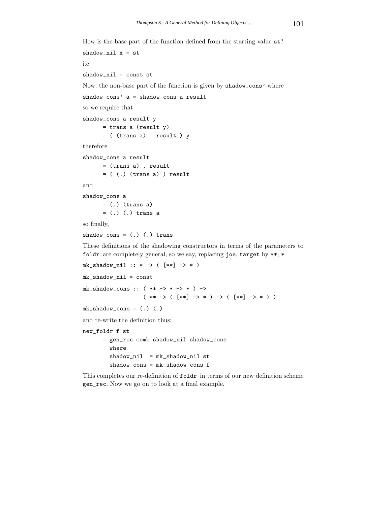How is the base part of the function defined from the starting value st?

```
shadow_nil x = sti.e.
shadow_nil = const st
Now, the non-base part of the function is given by shadow_cons' where
shadow_cons' a = shadow_cons a result
so we require that
shadow_cons a result y
      = trans a (result y)
      = ( (trans a) . result ) y
therefore
shadow_cons a result
      = (trans a) . result
      = ((.) (trans a)) result
and
shadow_cons a
      = (.) (trans a)
      = (.) (.) trans a
so finally,
shadow_cons = (.) (.) trans
These definitions of the shadowing constructors in terms of the parameters to
foldr are completely general, so we say, replacing joe, target by **, *
<code>mk_shadow_nil</code> :: * -> ( [**] -> * )
mk_shadow_nil = const
mk\_shadow\_cons :: ( ** -> * -> *) ->
                   ( ** -> ( [**] -> * ) -> ( [**] ->*))
mk\_shadow\_cons = (.) (.)
and re-write the definition thus:
new_foldr f st
      = gen_rec comb shadow_nil shadow_cons
        where
        shadow_nil = mk_shadow_nil st
        shadow_cons = mk_shadow_cons f
This completes our re-definition of foldr in terms of our new definition scheme
```
gen\_rec. Now we go on to look at a final example.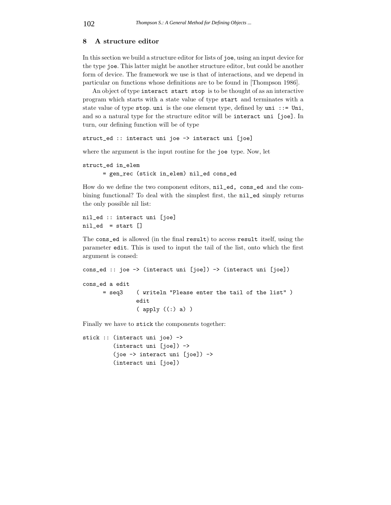#### 8 A structure editor

In this section we build a structure editor for lists of joe, using an input device for the type joe. This latter might be another structure editor, but could be another form of device. The framework we use is that of interactions, and we depend in particular on functions whose definitions are to be found in [Thompson 1986].

An object of type interact start stop is to be thought of as an interactive program which starts with a state value of type start and terminates with a state value of type stop. uni is the one element type, defined by uni ::= Uni, and so a natural type for the structure editor will be interact uni [joe]. In turn, our defining function will be of type

struct\_ed :: interact uni joe -> interact uni [joe]

where the argument is the input routine for the joe type. Now, let

```
struct_ed in_elem
      = gen_rec (stick in_elem) nil_ed cons_ed
```
How do we define the two component editors, nil\_ed, cons\_ed and the combining functional? To deal with the simplest first, the nil\_ed simply returns the only possible nil list:

```
nil_ed :: interact uni [joe]
nil\_ed = start []
```
The cons\_ed is allowed (in the final result) to access result itself, using the parameter edit. This is used to input the tail of the list, onto which the first argument is consed:

```
cons_ed :: joe -> (interact uni [joe]) -> (interact uni [joe])
cons_ed a edit
      = seq3 ( writeln "Please enter the tail of the list" )
                edit
                ( apply ((:) a) )
```
Finally we have to stick the components together:

```
stick :: (interact uni joe) ->
         (interact uni [joe]) ->
         (joe -> interact uni [joe]) ->
         (interact uni [joe])
```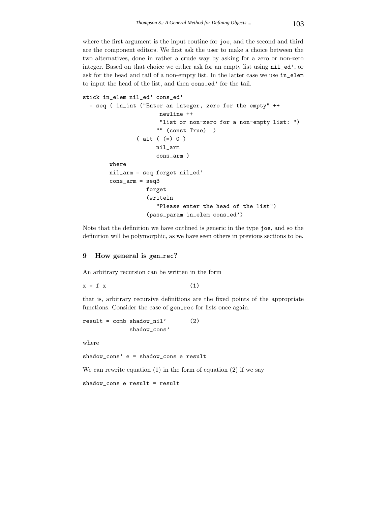where the first argument is the input routine for joe, and the second and third are the component editors. We first ask the user to make a choice between the two alternatives, done in rather a crude way by asking for a zero or non-zero integer. Based on that choice we either ask for an empty list using  $nil\_ed'$ , or ask for the head and tail of a non-empty list. In the latter case we use in\_elem to input the head of the list, and then cons\_ed' for the tail.

```
stick in_elem nil_ed' cons_ed'
 = seq ( in_int ("Enter an integer, zero for the empty" ++
                       newline ++
                       "list or non-zero for a non-empty list: ")
                      "" (const True) )
                ( alt ( (=) 0 )
                      nil_arm
                      cons_arm )
        where
        nil_arm = seq forget nil_ed'
        cons_arm = seq3
                   forget
                   (writeln
                      "Please enter the head of the list")
                   (pass_param in_elem cons_ed')
```
Note that the definition we have outlined is generic in the type joe, and so the definition will be polymorphic, as we have seen others in previous sections to be.

#### 9 How general is gen\_rec?

An arbitrary recursion can be written in the form

 $x = f x$  (1)

that is, arbitrary recursive definitions are the fixed points of the appropriate functions. Consider the case of gen\_rec for lists once again.

```
result = comb shadow\_nil' (2)
             shadow_cons'
```
where

```
shadow_cons' e = shadow_cons e result
```
We can rewrite equation  $(1)$  in the form of equation  $(2)$  if we say

shadow\_cons e result = result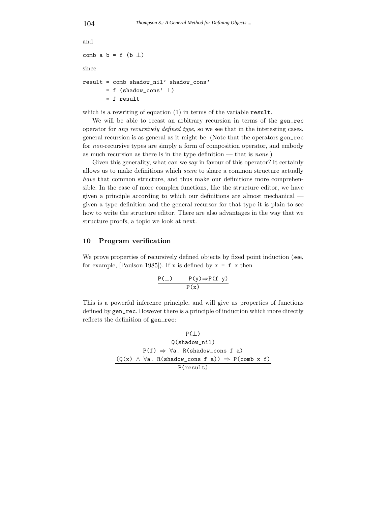```
and
comb a b = f (b \perp)since
result = comb shadow_nil' shadow_cons'
       = f (shadow_cons' \perp)
       = f result
```
which is a rewriting of equation  $(1)$  in terms of the variable result.

We will be able to recast an arbitrary recursion in terms of the gen\_rec operator for any recursively defined type, so we see that in the interesting cases, general recursion is as general as it might be. (Note that the operators gen\_rec for non-recursive types are simply a form of composition operator, and embody as much recursion as there is in the type definition — that is none.)

Given this generality, what can we say in favour of this operator? It certainly allows us to make definitions which seem to share a common structure actually have that common structure, and thus make our definitions more comprehensible. In the case of more complex functions, like the structure editor, we have given a principle according to which our definitions are almost mechanical given a type definition and the general recursor for that type it is plain to see how to write the structure editor. There are also advantages in the way that we structure proofs, a topic we look at next.

#### 10 Program verification

We prove properties of recursively defined objects by fixed point induction (see, for example, [Paulson 1985]). If x is defined by  $x = f x$  then

$$
\frac{P(\bot) \qquad P(y) \Rightarrow P(f \ y)}{P(x)}
$$

This is a powerful inference principle, and will give us properties of functions defined by gen\_rec. However there is a principle of induction which more directly reflects the definition of gen\_rec:

$$
\begin{array}{c}\nP(\perp) \\
\qquad \qquad \mathsf{Q}(\texttt{shadow\_nil}) \\
\qquad \qquad \mathsf{P}(\mathbf{f}) \ \Rightarrow \ \forall \mathsf{a}. \ \mathsf{R}(\texttt{shadow\_cons } \mathbf{f} \ \mathsf{a}) \\
\qquad \qquad \qquad \mathsf{Q}(x) \ \land \ \forall \mathsf{a}. \ \mathsf{R}(\texttt{shadow\_cons } \mathbf{f} \ \mathsf{a})) \ \Rightarrow \ \mathsf{P}(\texttt{comb } x \ \mathbf{f}) \\
\qquad \qquad \qquad \mathsf{P}(\texttt{result})\n\end{array}
$$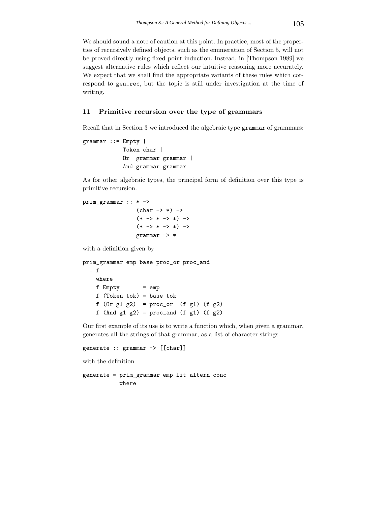We should sound a note of caution at this point. In practice, most of the properties of recursively defined objects, such as the enumeration of Section 5, will not be proved directly using fixed point induction. Instead, in [Thompson 1989] we suggest alternative rules which reflect our intuitive reasoning more accurately. We expect that we shall find the appropriate variants of these rules which correspond to gen\_rec, but the topic is still under investigation at the time of writing.

#### 11 Primitive recursion over the type of grammars

Recall that in Section 3 we introduced the algebraic type grammar of grammars:

```
grammar ::= Empty |
            Token char |
            Or grammar grammar |
            And grammar grammar
```
As for other algebraic types, the principal form of definition over this type is primitive recursion.

```
prim_grammar :: * ->
                   (char \rightarrow *) \rightarrow(* -> * -> *) ->(* -> * -> *) ->grammar -> *
```
with a definition given by

```
prim_grammar emp base proc_or proc_and
 = fwhere
   f Empty = emp
   f (Token tok) = base tok
   f (0r g1 g2) = proc_or (f g1) (f g2)f (And g1 g2) = proc_and (f g1) (f g2)
```
Our first example of its use is to write a function which, when given a grammar, generates all the strings of that grammar, as a list of character strings.

```
generate :: grammar -> [[char]]
```
with the definition

```
generate = prim_grammar emp lit altern conc
           where
```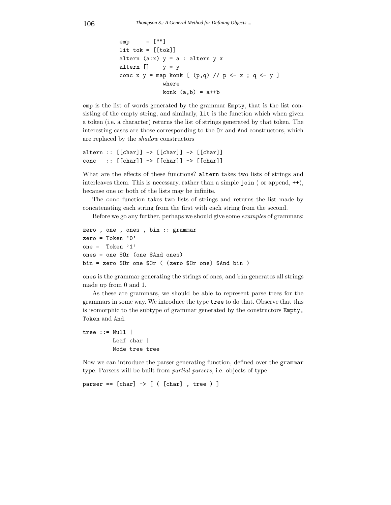```
emp = [""]lit tok = [[tok]]altern (a:x) y = a : altern y xaltern [] y = yconc x y = map konk [ (p,q) // p \leftarrow x ; q \leftarrow y ]
             where
             konk (a,b) = a++b
```
emp is the list of words generated by the grammar Empty, that is the list consisting of the empty string, and similarly, lit is the function which when given a token (i.e. a character) returns the list of strings generated by that token. The interesting cases are those corresponding to the Or and And constructors, which are replaced by the shadow constructors

```
altern :: [[char]] -> [[char]] -> [[char]]
conc :: [[char]] -> [[char]] -> [[char]]
```
What are the effects of these functions? altern takes two lists of strings and interleaves them. This is necessary, rather than a simple join (or append,  $++$ ), because one or both of the lists may be infinite.

The conc function takes two lists of strings and returns the list made by concatenating each string from the first with each string from the second.

Before we go any further, perhaps we should give some examples of grammars:

```
zero , one , ones , bin :: grammar
zero = Token '0'
one = Token '1'
ones = one $Or (one $And ones)
bin = zero $Or one $Or ( (zero $Or one) $And bin )
```
ones is the grammar generating the strings of ones, and bin generates all strings made up from 0 and 1.

As these are grammars, we should be able to represent parse trees for the grammars in some way. We introduce the type tree to do that. Observe that this is isomorphic to the subtype of grammar generated by the constructors Empty, Token and And.

tree ::= Null | Leaf char | Node tree tree

Now we can introduce the parser generating function, defined over the grammar type. Parsers will be built from partial parsers, i.e. objects of type

parser ==  $[char] \rightarrow [$  ( $[char]$ , tree ) ]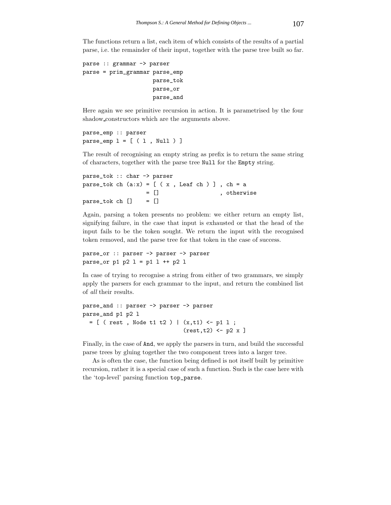The functions return a list, each item of which consists of the results of a partial parse, i.e. the remainder of their input, together with the parse tree built so far.

```
parse :: grammar -> parser
parse = prim_grammar parse_emp
                     parse_tok
                     parse_or
                     parse_and
```
Here again we see primitive recursion in action. It is parametrised by the four shadow constructors which are the arguments above.

```
parse_emp :: parser
parse_{emp} l = [ (l, Null ) ]
```
The result of recognising an empty string as prefix is to return the same string of characters, together with the parse tree Null for the Empty string.

```
parse_tok :: char -> parser
parse_tok ch (ax) = [ ( x , \text{Leaf ch } ) ], ch = a
                 = [] , otherwise
parse_tok ch [] = []
```
Again, parsing a token presents no problem: we either return an empty list, signifying failure, in the case that input is exhausted or that the head of the input fails to be the token sought. We return the input with the recognised token removed, and the parse tree for that token in the case of success.

```
parse_or :: parser -> parser -> parser
parse_or p1 p2 l = p1 l ++ p2 l
```
In case of trying to recognise a string from either of two grammars, we simply apply the parsers for each grammar to the input, and return the combined list of all their results.

```
parse_and :: parser -> parser -> parser
parse_and p1 p2 l
  = [ ( rest , Node t1 t2 ) | (x,t1) <- p1 l ;
                               (result, t2) < -p2 x ]
```
Finally, in the case of And, we apply the parsers in turn, and build the successful parse trees by gluing together the two component trees into a larger tree.

As is often the case, the function being defined is not itself built by primitive recursion, rather it is a special case of such a function. Such is the case here with the 'top-level' parsing function top\_parse.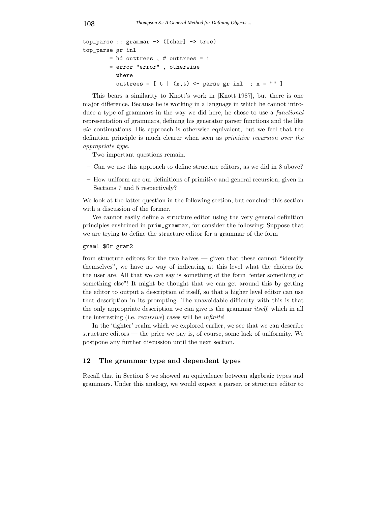```
top\_parse :: grammar \rightarrow ([char] \rightarrow tree)top_parse gr inl
         = hd outtrees , # outtrees = 1
         = error "error" , otherwise
           where
           outtrees = [t | (x,t) \leftarrow parse gr inl ; x = "" ]
```
This bears a similarity to Knott's work in [Knott 1987], but there is one major difference. Because he is working in a language in which he cannot introduce a type of grammars in the way we did here, he chose to use a *functional* representation of grammars, defining his generator parser functions and the like via continuations. His approach is otherwise equivalent, but we feel that the definition principle is much clearer when seen as primitive recursion over the appropriate type.

Two important questions remain.

- Can we use this approach to define structure editors, as we did in 8 above?
- How uniform are our definitions of primitive and general recursion, given in Sections 7 and 5 respectively?

We look at the latter question in the following section, but conclude this section with a discussion of the former.

We cannot easily define a structure editor using the very general definition principles enshrined in prim\_grammar, for consider the following: Suppose that we are trying to define the structure editor for a grammar of the form

#### gram1 \$Or gram2

from structure editors for the two halves — given that these cannot "identify themselves", we have no way of indicating at this level what the choices for the user are. All that we can say is something of the form "enter something or something else"! It might be thought that we can get around this by getting the editor to output a description of itself, so that a higher level editor can use that description in its prompting. The unavoidable difficulty with this is that the only appropriate description we can give is the grammar itself, which in all the interesting (i.e. recursive) cases will be infinite!

In the 'tighter' realm which we explored earlier, we see that we can describe structure editors — the price we pay is, of course, some lack of uniformity. We postpone any further discussion until the next section.

#### 12 The grammar type and dependent types

Recall that in Section 3 we showed an equivalence between algebraic types and grammars. Under this analogy, we would expect a parser, or structure editor to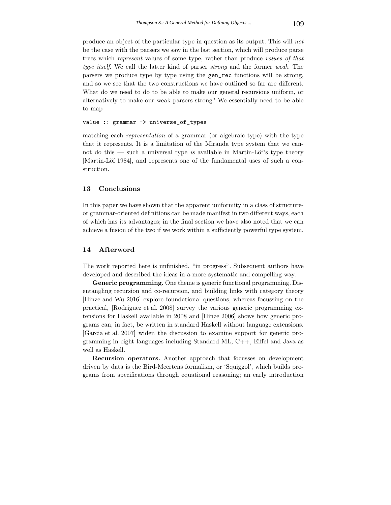produce an object of the particular type in question as its output. This will not be the case with the parsers we saw in the last section, which will produce parse trees which represent values of some type, rather than produce values of that type itself. We call the latter kind of parser strong and the former weak. The parsers we produce type by type using the gen\_rec functions will be strong, and so we see that the two constructions we have outlined so far are different. What do we need to do to be able to make our general recursions uniform, or alternatively to make our weak parsers strong? We essentially need to be able to map

value :: grammar -> universe\_of\_types

matching each representation of a grammar (or algebraic type) with the type that it represents. It is a limitation of the Miranda type system that we cannot do this — such a universal type is available in Martin-Löf's type theory [Martin-Löf 1984], and represents one of the fundamental uses of such a construction.

#### 13 Conclusions

In this paper we have shown that the apparent uniformity in a class of structureor grammar-oriented definitions can be made manifest in two different ways, each of which has its advantages; in the final section we have also noted that we can achieve a fusion of the two if we work within a sufficiently powerful type system.

#### 14 Afterword

The work reported here is unfinished, "in progress". Subsequent authors have developed and described the ideas in a more systematic and compelling way.

Generic programming. One theme is generic functional programming. Disentangling recursion and co-recursion, and building links with category theory [Hinze and Wu 2016] explore foundational questions, whereas focussing on the practical, [Rodriguez et al. 2008] survey the various generic programming extensions for Haskell available in 2008 and [Hinze 2006] shows how generic programs can, in fact, be written in standard Haskell without language extensions. [Garcia et al. 2007] widen the discussion to examine support for generic programming in eight languages including Standard ML, C++, Eiffel and Java as well as Haskell.

Recursion operators. Another approach that focusses on development driven by data is the Bird-Meertens formalism, or 'Squiggol', which builds programs from specifications through equational reasoning; an early introduction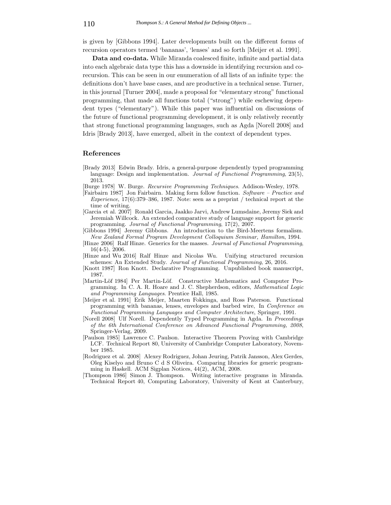is given by [Gibbons 1994]. Later developments built on the different forms of recursion operators termed 'bananas', 'lenses' and so forth [Meijer et al. 1991].

Data and co-data. While Miranda coalesced finite, infinite and partial data into each algebraic data type this has a downside in identifying recursion and corecursion. This can be seen in our enumeration of all lists of an infinite type: the definitions don't have base cases, and are productive in a technical sense. Turner, in this journal [Turner 2004], made a proposal for "elementary strong" functional programming, that made all functions total ("strong") while eschewing dependent types ("elementary"). While this paper was influential on discussions of the future of functional programming development, it is only relatively recently that strong functional programming languages, such as Agda [Norell 2008] and Idris [Brady 2013], have emerged, albeit in the context of dependent types.

#### References

- [Brady 2013] Edwin Brady. Idris, a general-purpose dependently typed programming language: Design and implementation. Journal of Functional Programming, 23(5), 2013.
- [Burge 1978] W. Burge. Recursive Programming Techniques. Addison-Wesley, 1978.
- [Fairbairn 1987] Jon Fairbairn. Making form follow function. Software Practice and Experience,  $17(6)$ :379–386, 1987. Note: seen as a preprint / technical report at the time of writing.
- [Garcia et al. 2007] Ronald Garcia, Jaakko Jarvi, Andrew Lumsdaine, Jeremy Siek and Jeremiah Willcock. An extended comparative study of language support for generic programming. Journal of Functional Programming, 17(2), 2007.
- [Gibbons 1994] Jeremy Gibbons. An introduction to the Bird-Meertens formalism. New Zealand Formal Program Development Colloquium Seminar, Hamilton, 1994.
- [Hinze 2006] Ralf Hinze. Generics for the masses. Journal of Functional Programming, 16(4-5), 2006.
- [Hinze and Wu 2016] Ralf Hinze and Nicolas Wu. Unifying structured recursion schemes: An Extended Study. Journal of Functional Programming, 26, 2016.
- [Knott 1987] Ron Knott. Declarative Programming. Unpublished book manuscript, 1987.
- [Martin-Löf 1984] Per Martin-Löf. Constructive Mathematics and Computer Programming. In C. A. R. Hoare and J. C. Shepherdson, editors, Mathematical Logic and Programming Languages. Prentice Hall, 1985.
- [Meijer et al. 1991] Erik Meijer, Maarten Fokkinga, and Ross Paterson. Functional programming with bananas, lenses, envelopes and barbed wire, In Conference on Functional Programming Languages and Computer Architecture, Springer, 1991.
- [Norell 2008] Ulf Norell. Dependently Typed Programming in Agda. In Proceedings of the 6th International Conference on Advanced Functional Programming, 2008, Springer-Verlag, 2009.
- [Paulson 1985] Lawrence C. Paulson. Interactive Theorem Proving with Cambridge LCF. Technical Report 80, University of Cambridge Computer Laboratory, November 1985.
- [Rodriguez et al. 2008] Alexey Rodriguez, Johan Jeuring, Patrik Jansson, Alex Gerdes, Oleg Kiselyo and Bruno C d S Oliveira. Comparing libraries for generic programming in Haskell. ACM Sigplan Notices, 44(2), ACM, 2008.
- [Thompson 1986] Simon J. Thompson. Writing interactive programs in Miranda. Technical Report 40, Computing Laboratory, University of Kent at Canterbury,